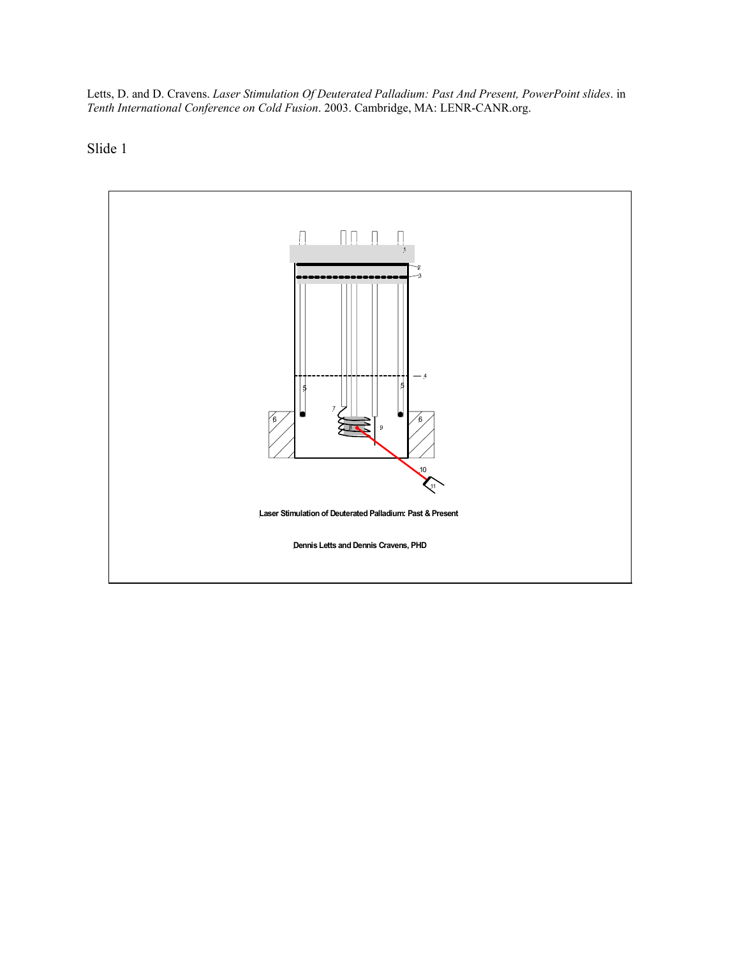Letts, D. and D. Cravens. *Laser Stimulation Of Deuterated Palladium: Past And Present, PowerPoint slides*. in *Tenth International Conference on Cold Fusion*. 2003. Cambridge, MA: LENR-CANR.org.

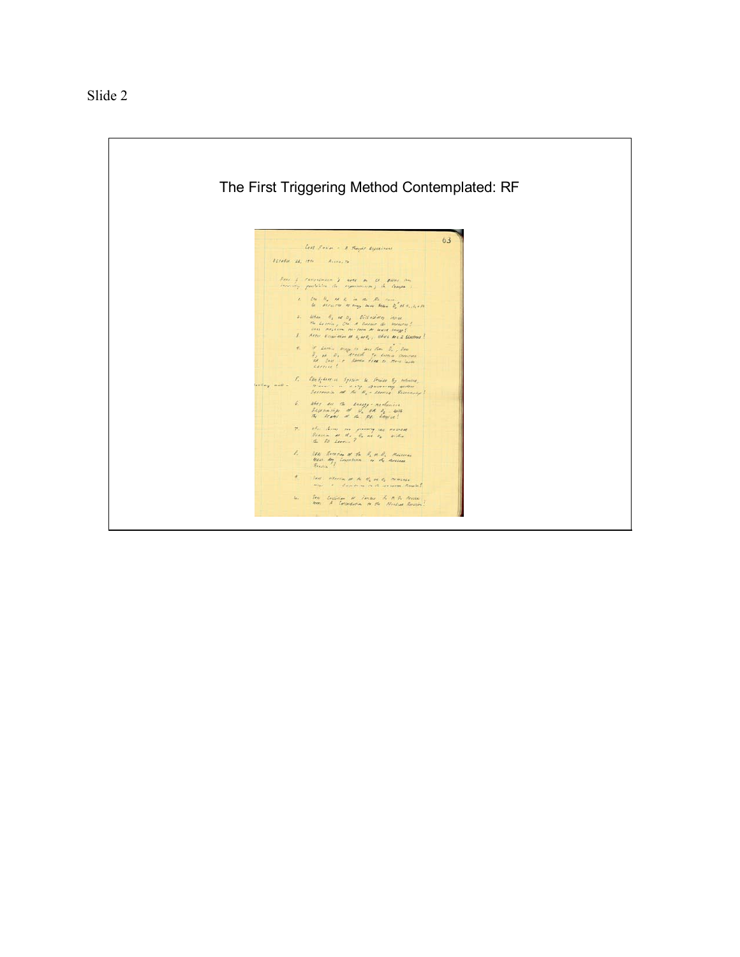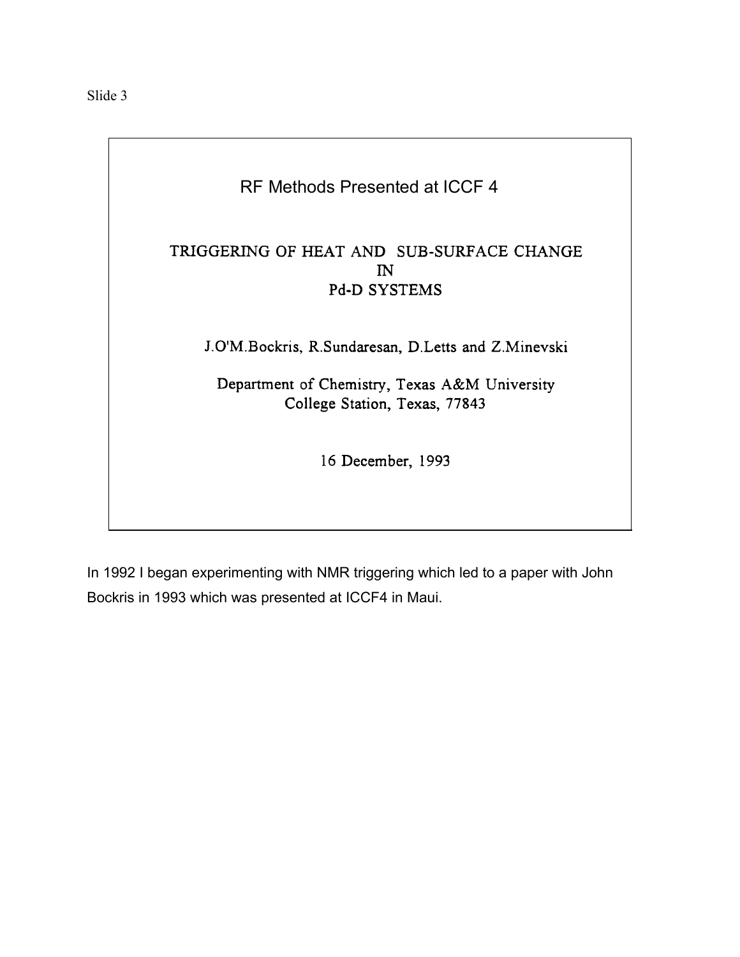## RF Methods Presented at ICCF 4

## TRIGGERING OF HEAT AND SUB-SURFACE CHANGE  $\mathbf{N}$ Pd-D SYSTEMS

J.O'M.Bockris, R.Sundaresan, D.Letts and Z.Minevski

Department of Chemistry, Texas A&M University College Station, Texas, 77843

16 December, 1993

In 1992 I began experimenting with NMR triggering which led to a paper with John Bockris in 1993 which was presented at ICCF4 in Maui.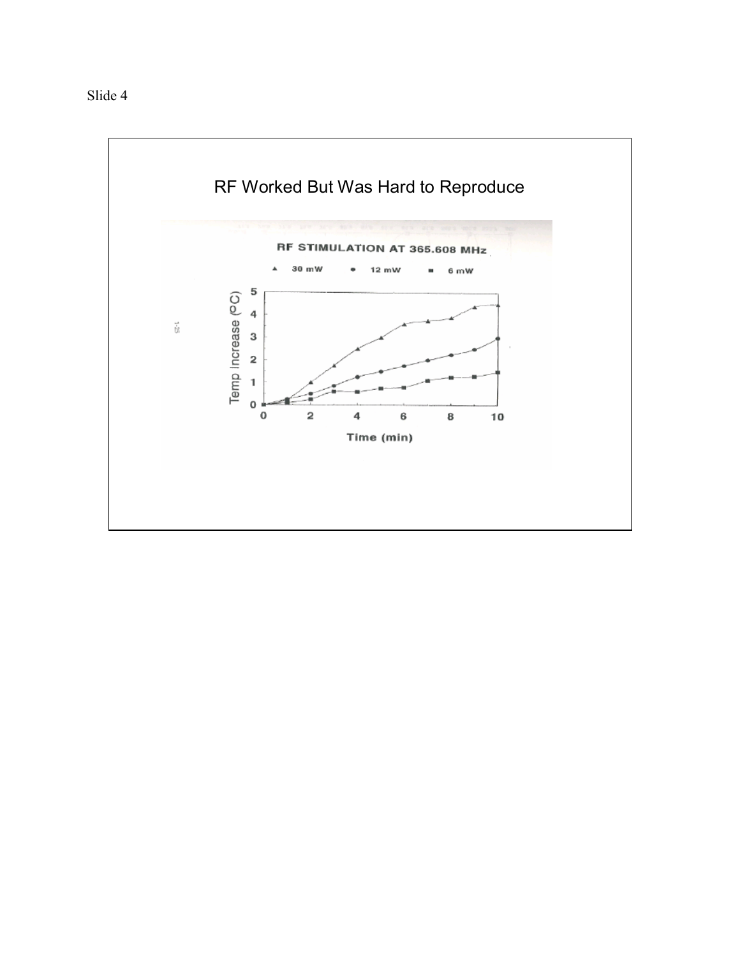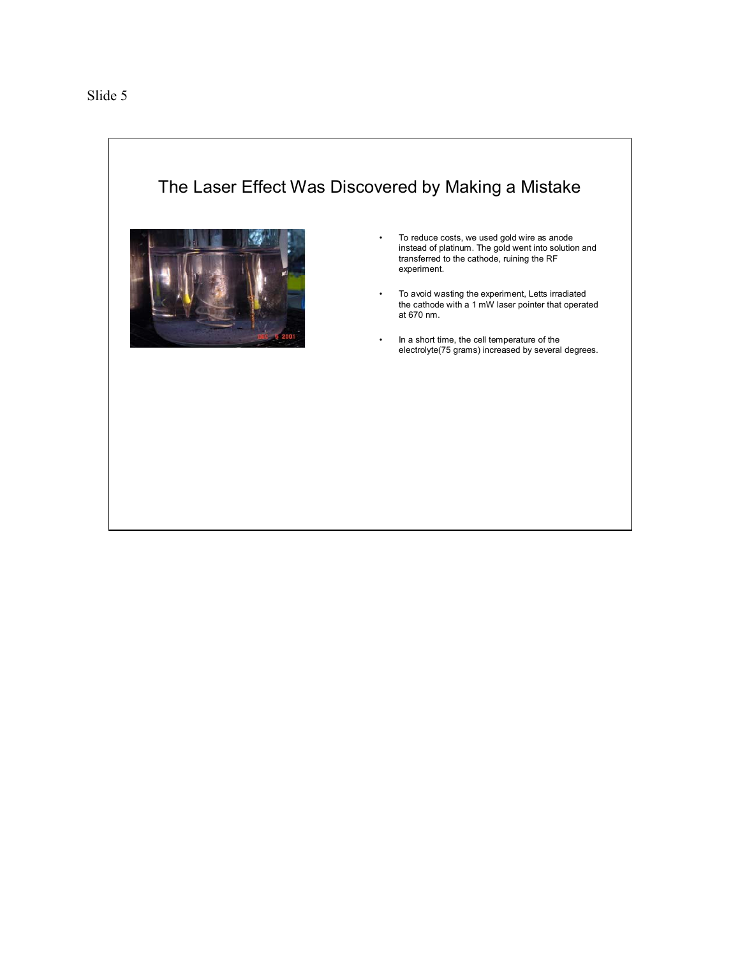



- To reduce costs, we used gold wire as anode instead of platinum. The gold went into solution and transferred to the cathode, ruining the RF experiment.
- To avoid wasting the experiment, Letts irradiated the cathode with a 1 mW laser pointer that operated at 670 nm.
- In a short time, the cell temperature of the electrolyte(75 grams) increased by several degrees.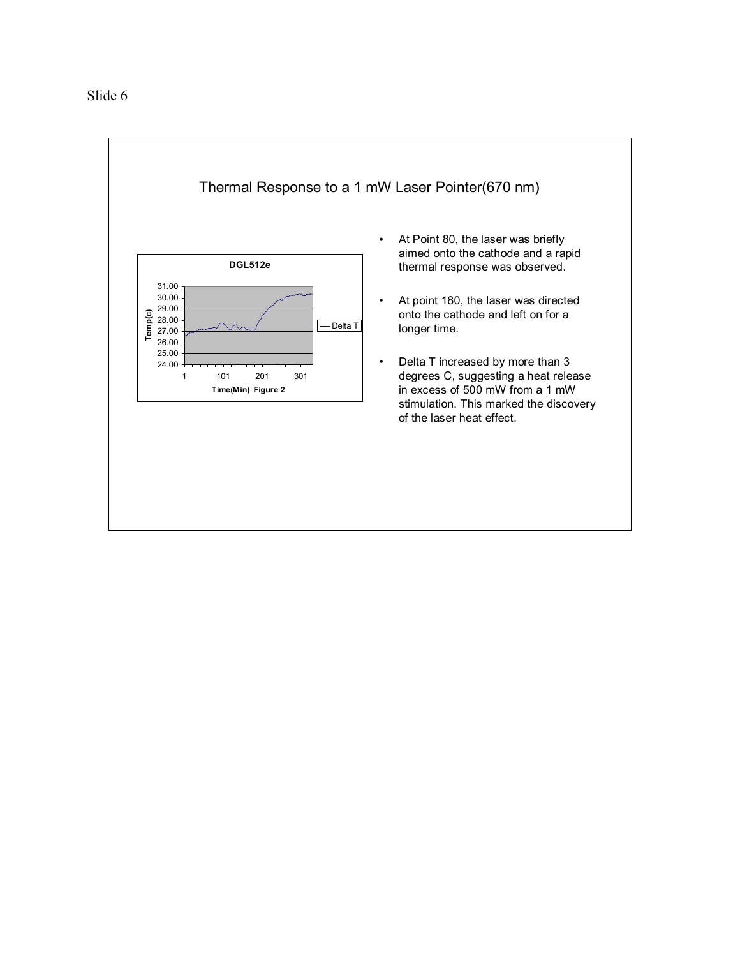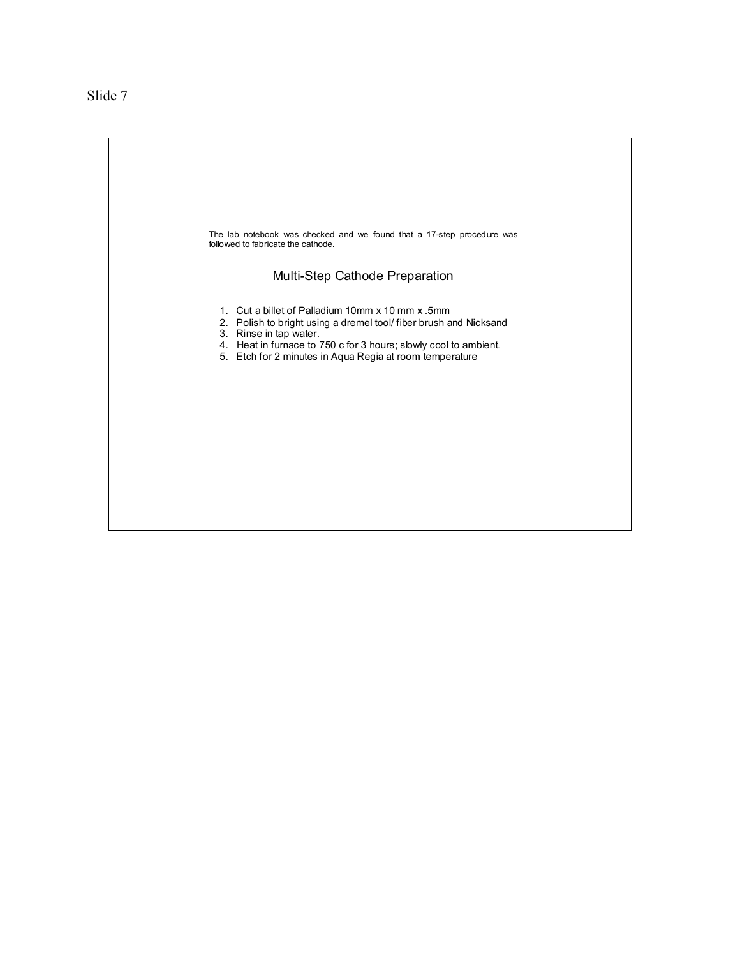The lab notebook was checked and we found that a 17-step procedure was followed to fabricate the cathode. Multi-Step Cathode Preparation 1. Cut a billet of Palladium 10mm x 10 mm x .5mm 2. Polish to bright using a dremel tool/ fiber brush and Nicksand 3. Rinse in tap water. 4. Heat in furnace to 750 c for 3 hours; slowly cool to ambient. 5. Etch for 2 minutes in Aqua Regia at room temperature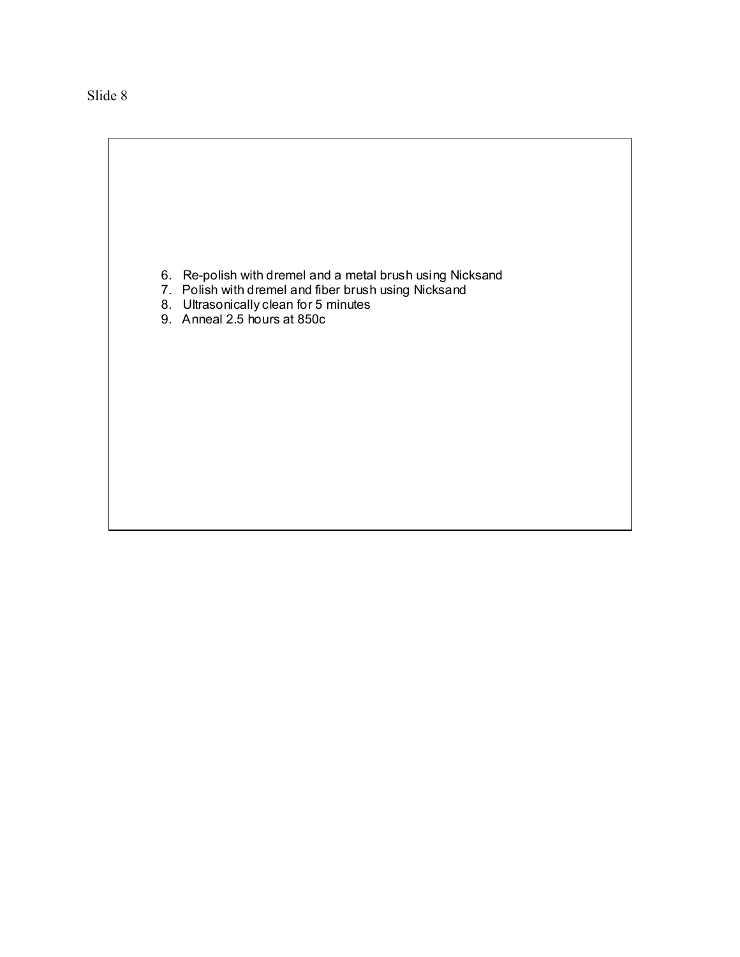6. Re-polish with dremel and a metal brush using Nicksand

- 7. Polish with dremel and fiber brush using Nicksand
- 8. Ultrasonically clean for 5 minutes
- 9. Anneal 2.5 hours at 850c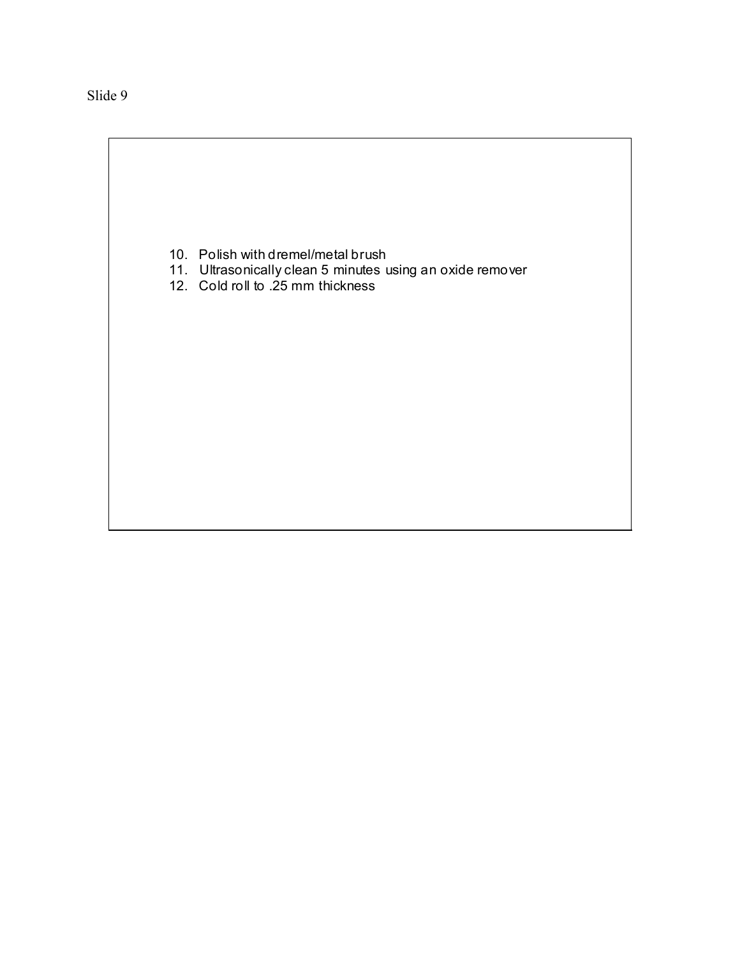- 10. Polish with dremel/metal brush
- 11. Ultrasonically clean 5 minutes using an oxide remover
- 12. Cold roll to .25 mm thickness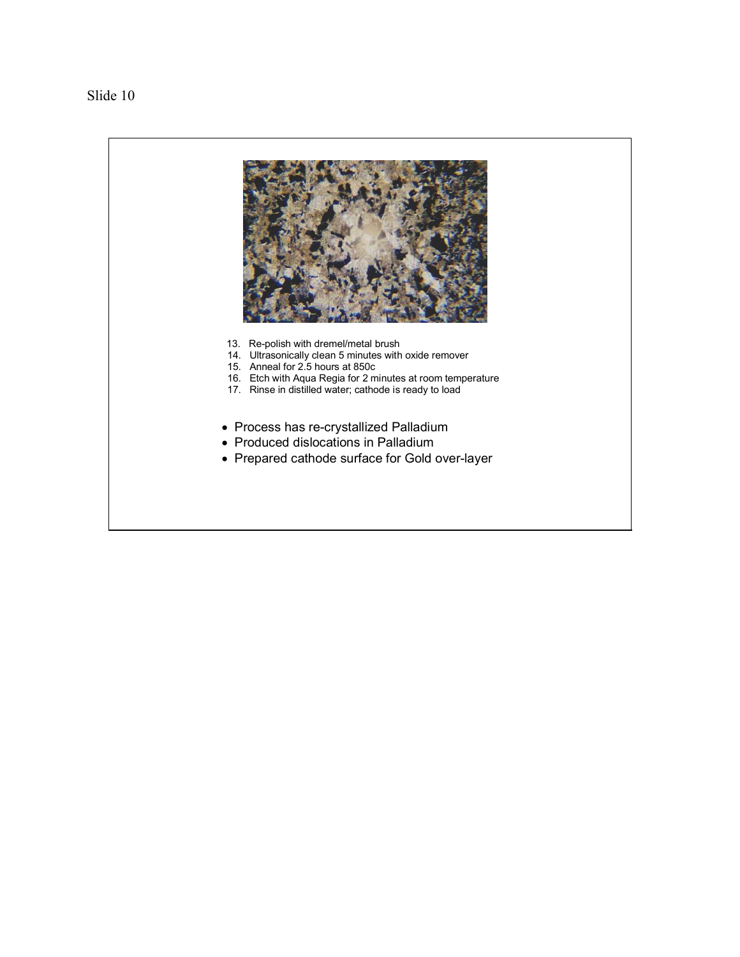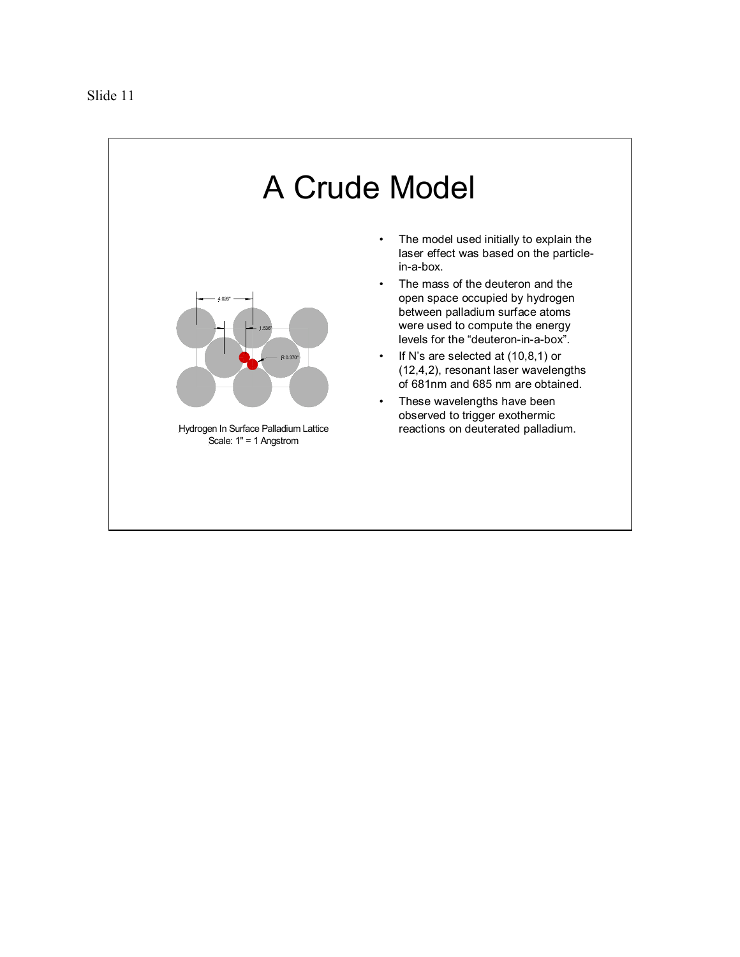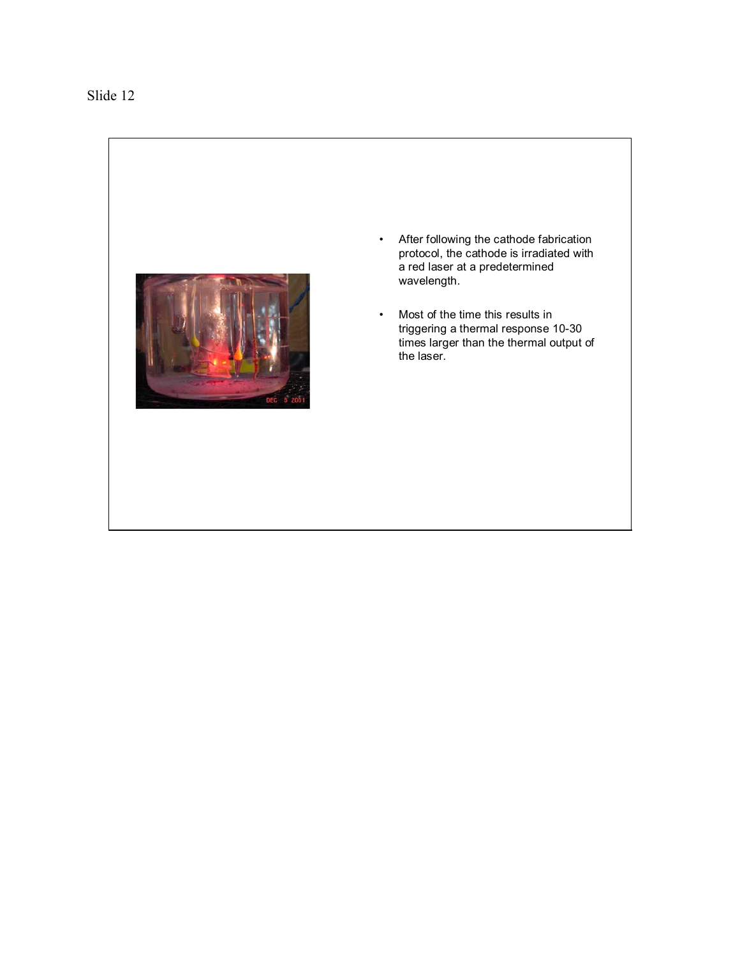

- After following the cathode fabrication protocol, the cathode is irradiated with a red laser at a predetermined wavelength.
- Most of the time this results in triggering a thermal response 10-30 times larger than the thermal output of the laser.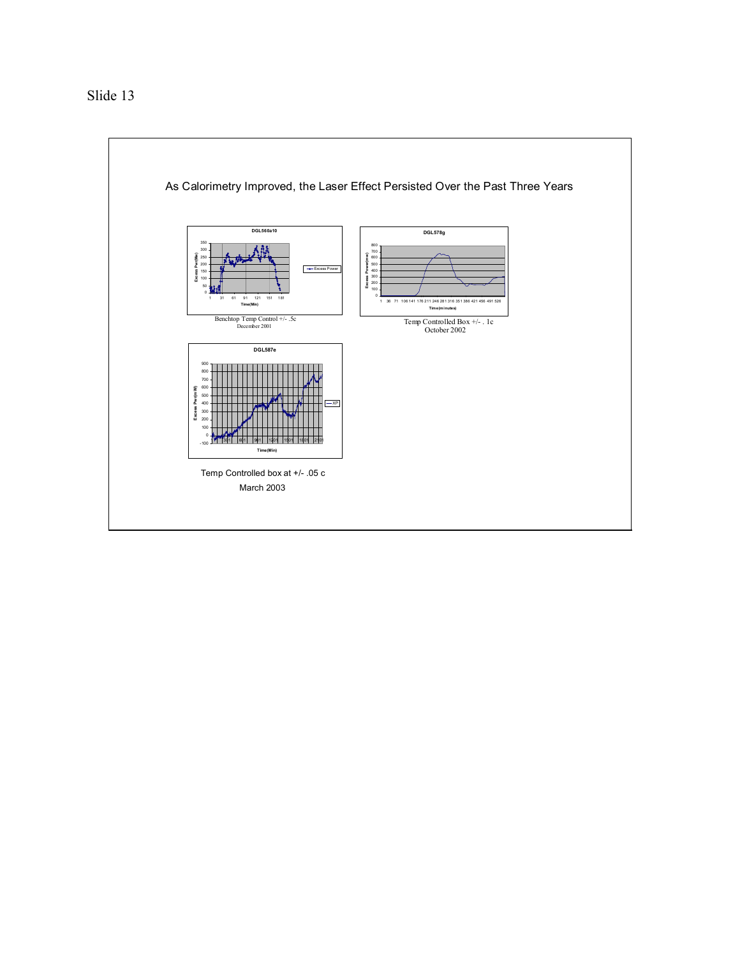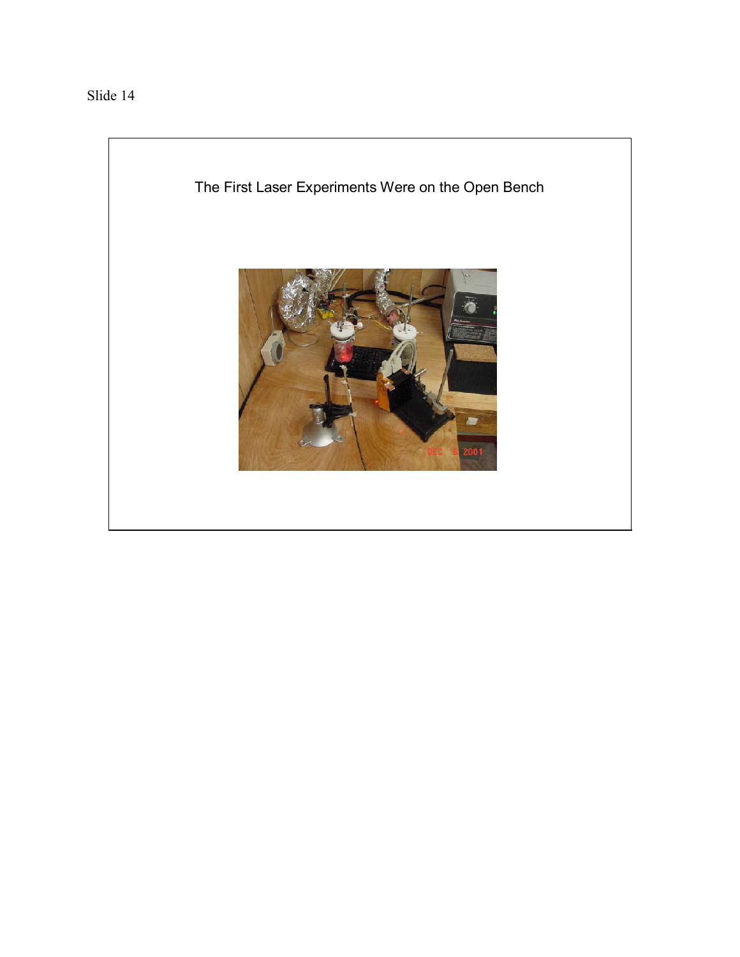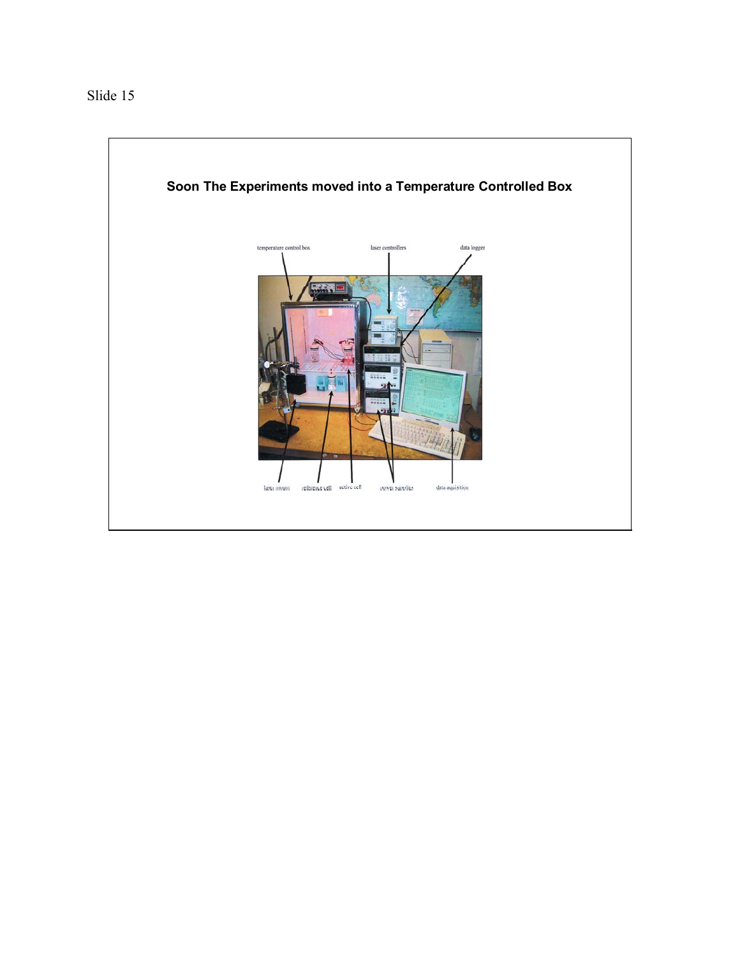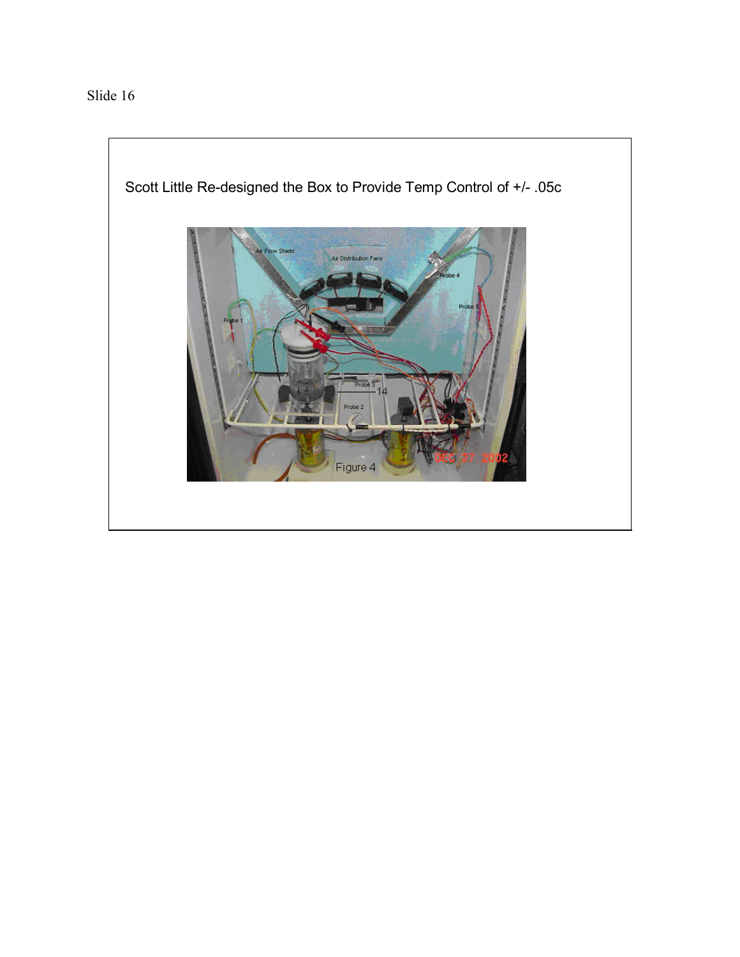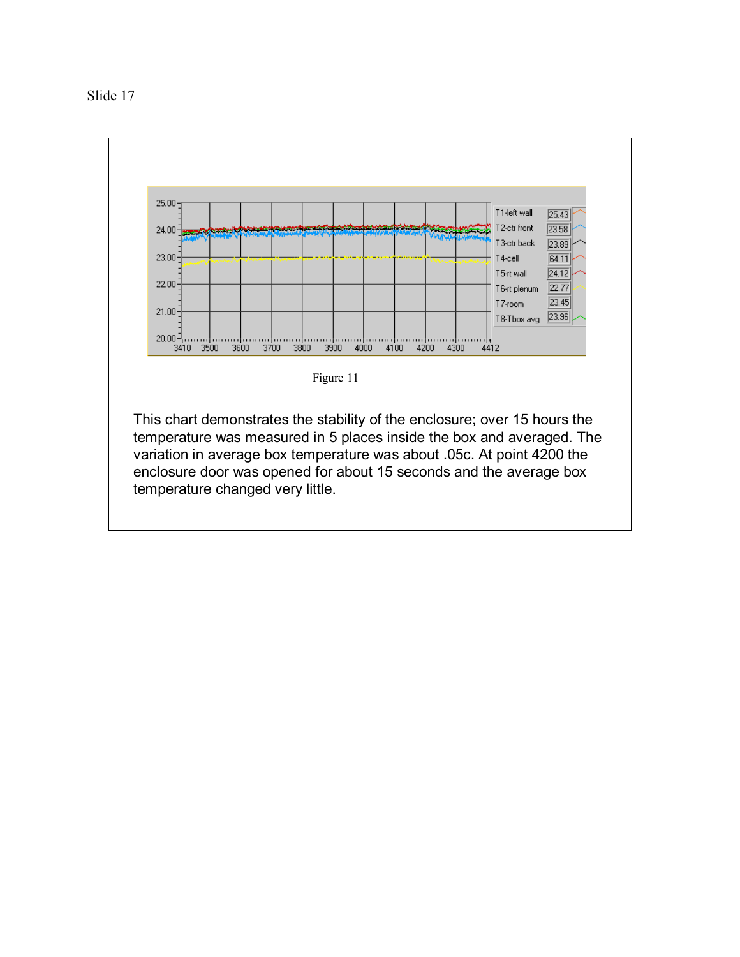

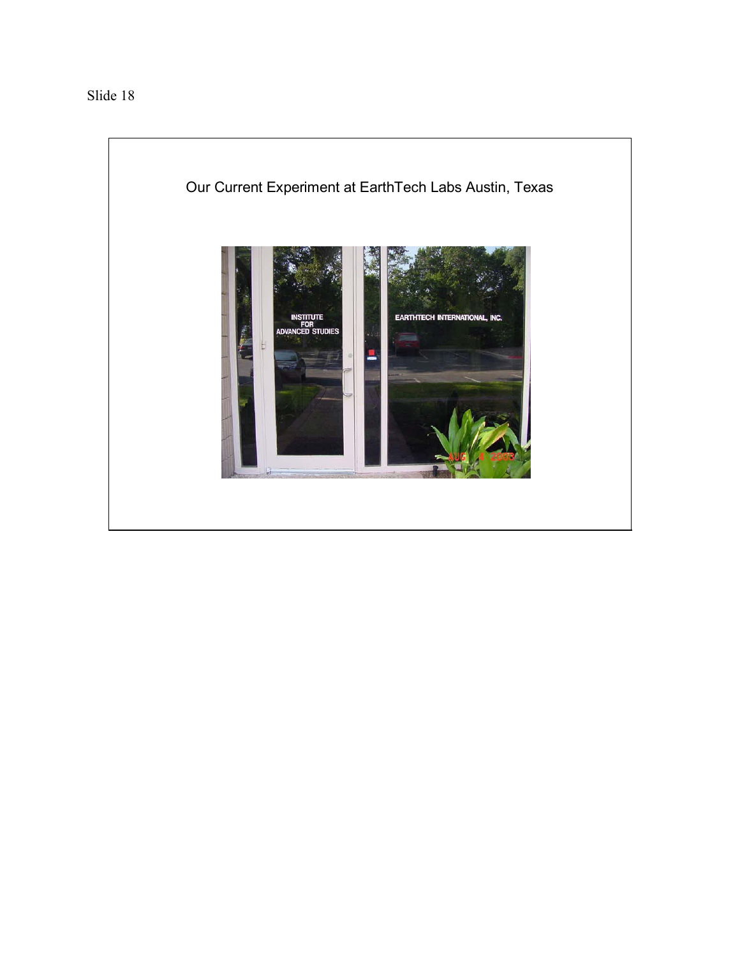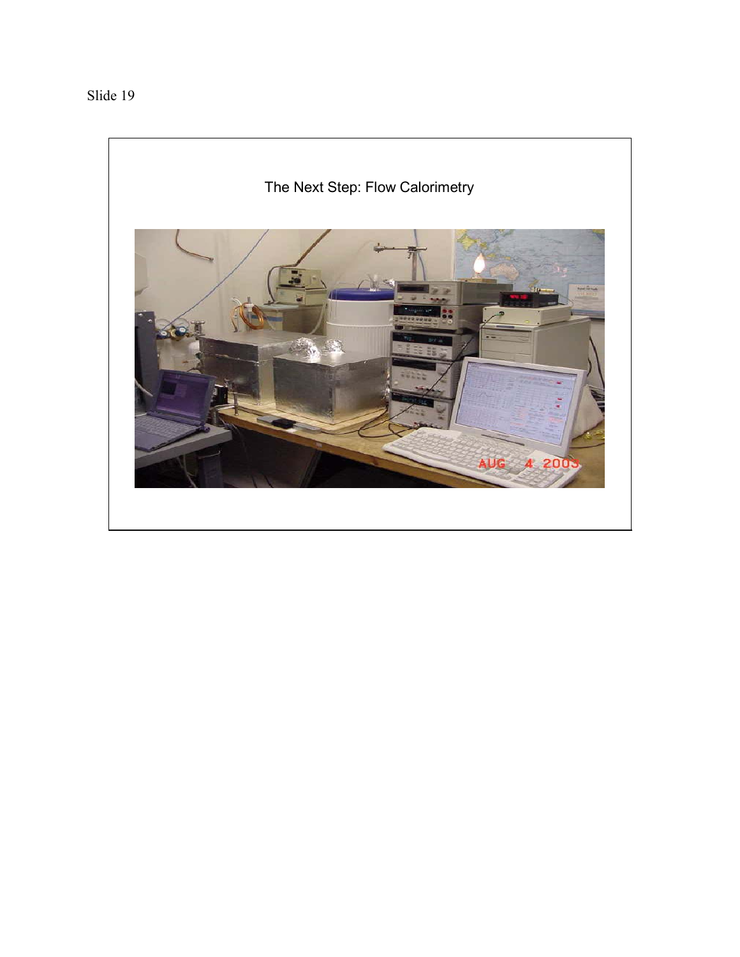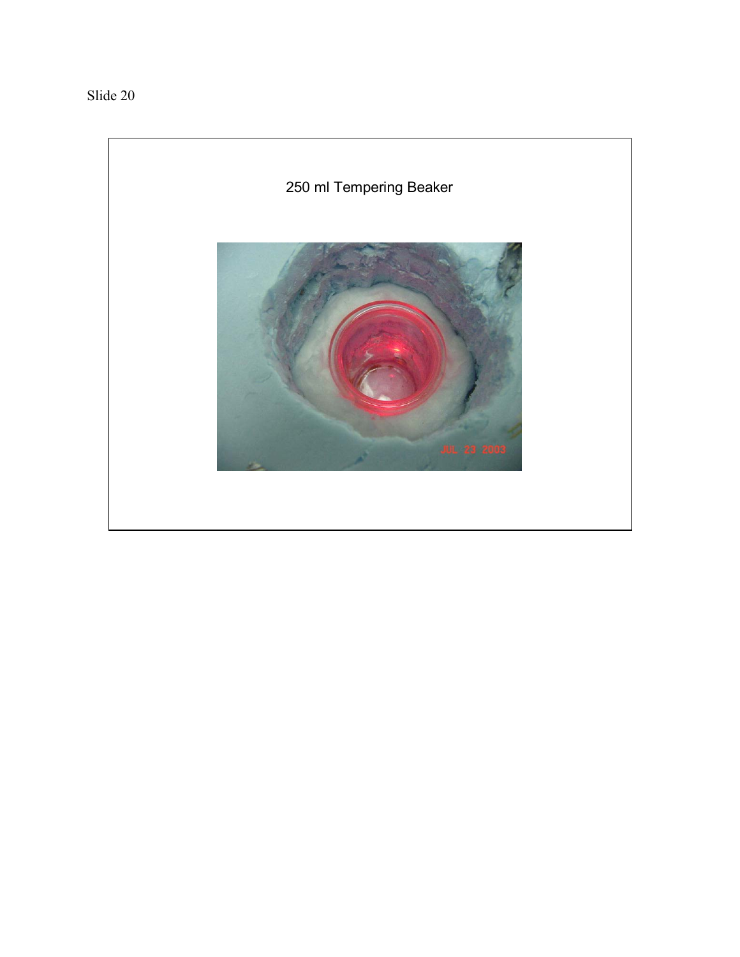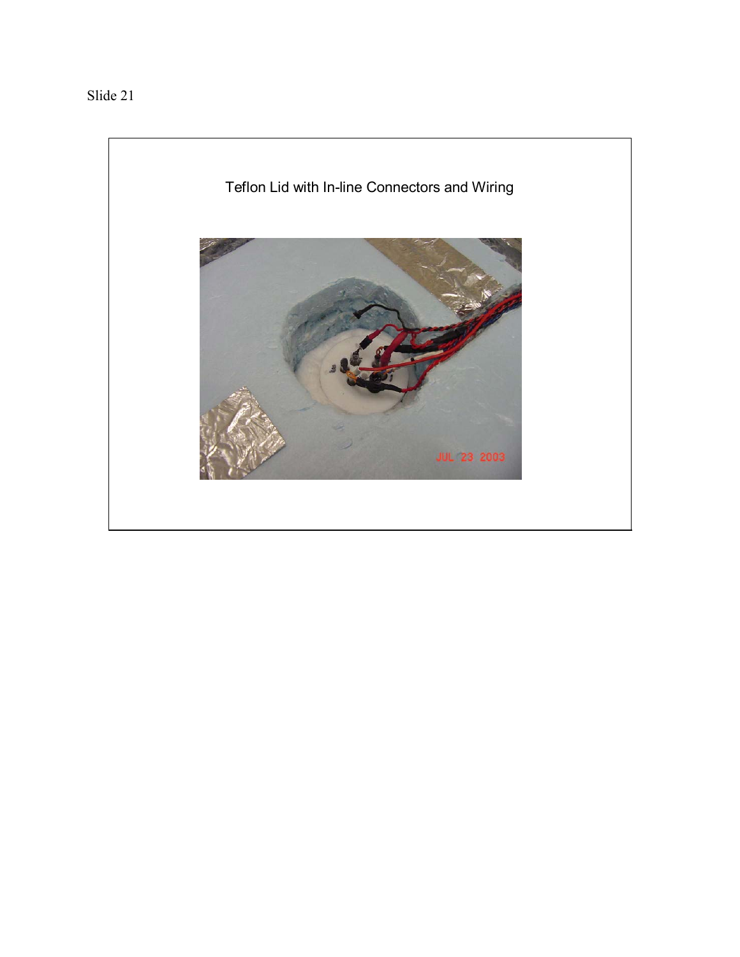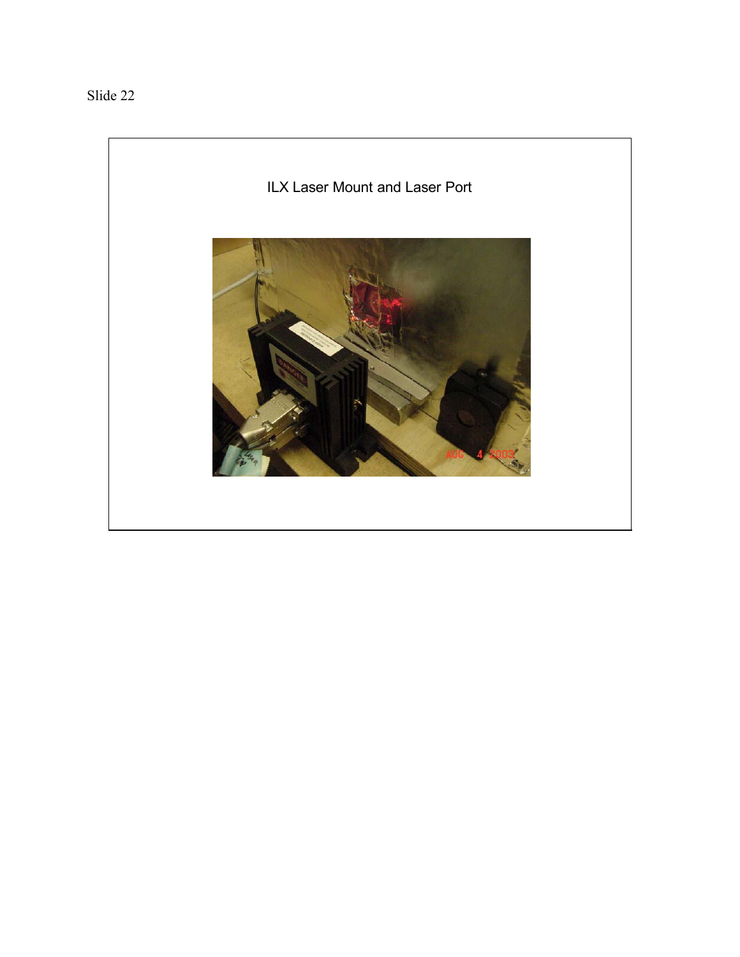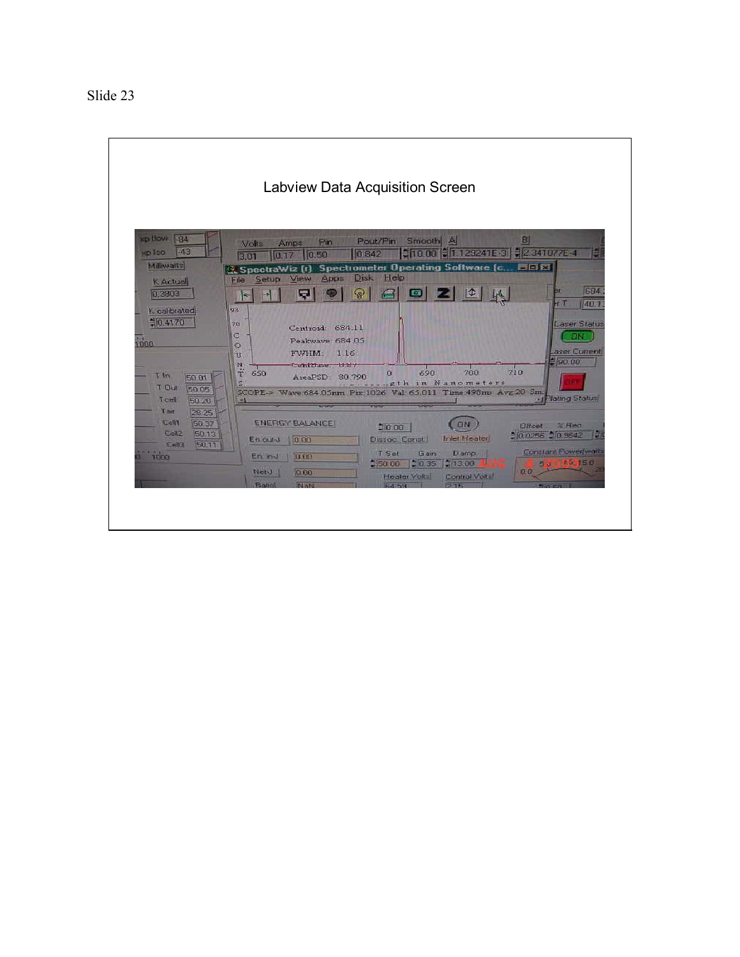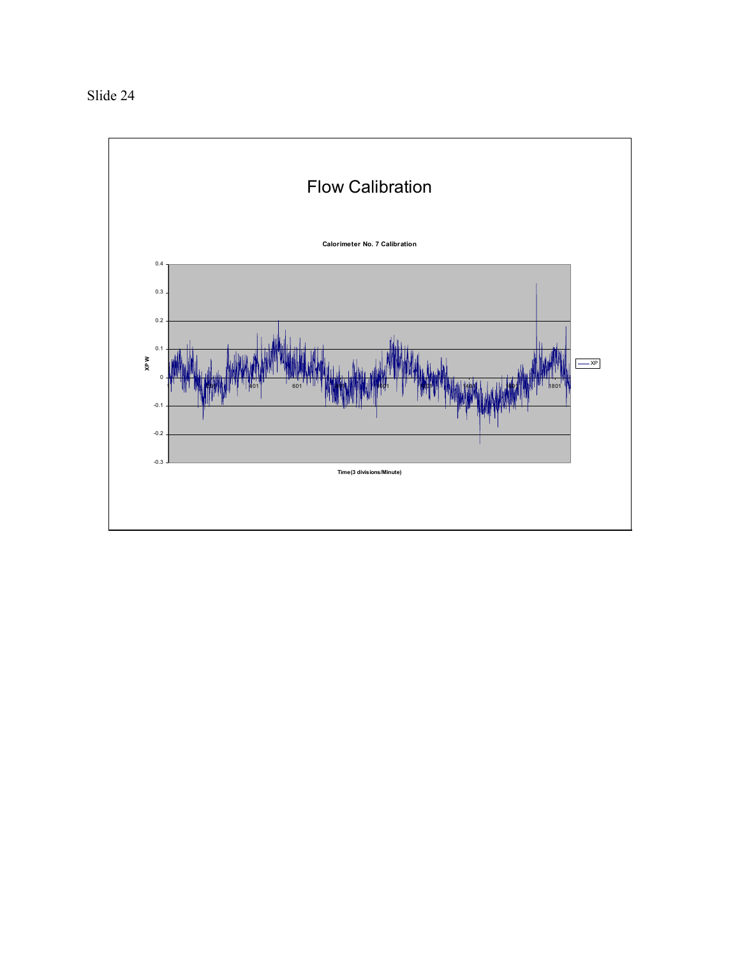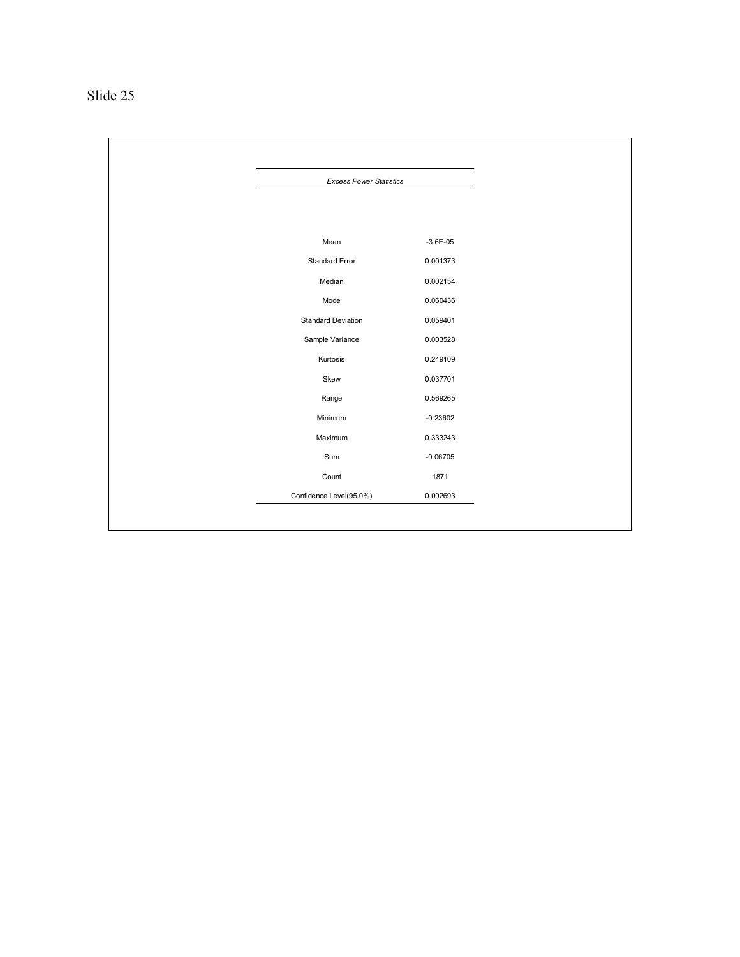| Slide 2 |  |
|---------|--|
|---------|--|

| <b>Excess Power Statistics</b> |              |  |
|--------------------------------|--------------|--|
|                                |              |  |
|                                |              |  |
| Mean                           | $-3.6E - 05$ |  |
| Standard Error                 | 0.001373     |  |
| Median                         | 0.002154     |  |
| Mode                           | 0.060436     |  |
| <b>Standard Deviation</b>      | 0.059401     |  |
| Sample Variance                | 0.003528     |  |
| Kurtosis                       | 0.249109     |  |
| Skew                           | 0.037701     |  |
| Range                          | 0.569265     |  |
| Minimum                        | $-0.23602$   |  |
| Maximum                        | 0.333243     |  |
| Sum                            | $-0.06705$   |  |
| Count                          | 1871         |  |
| Confidence Level(95.0%)        | 0.002693     |  |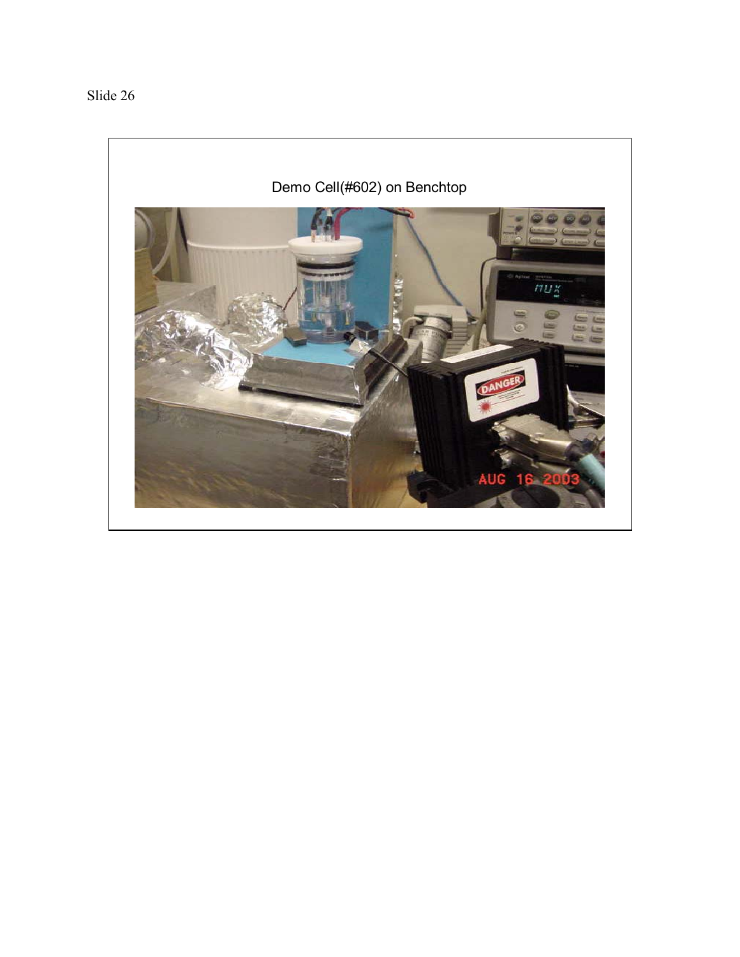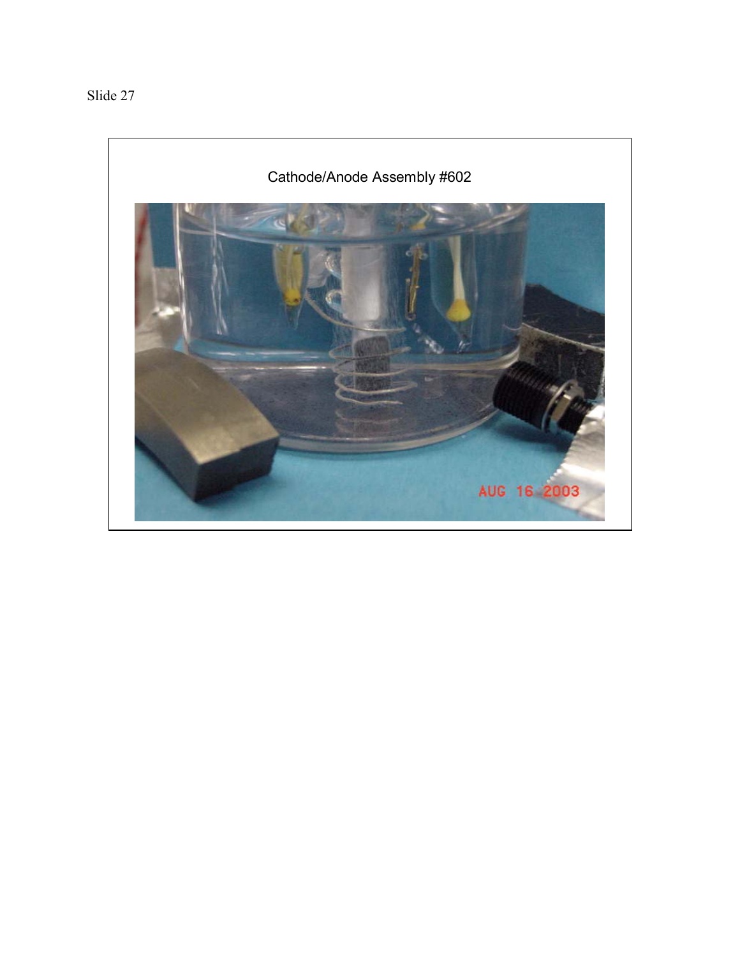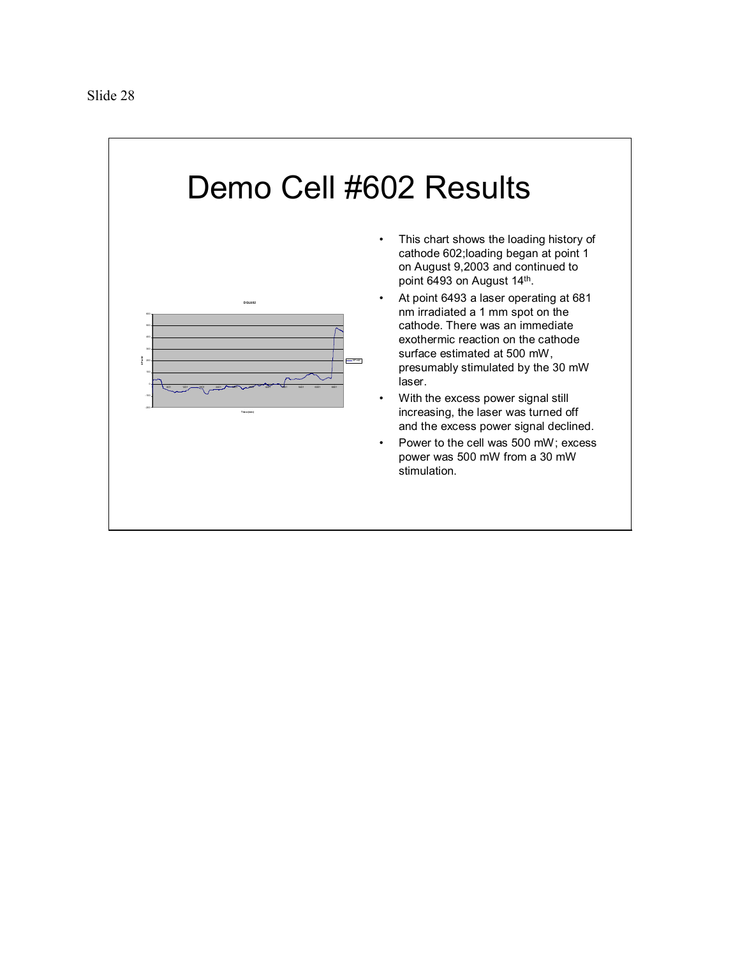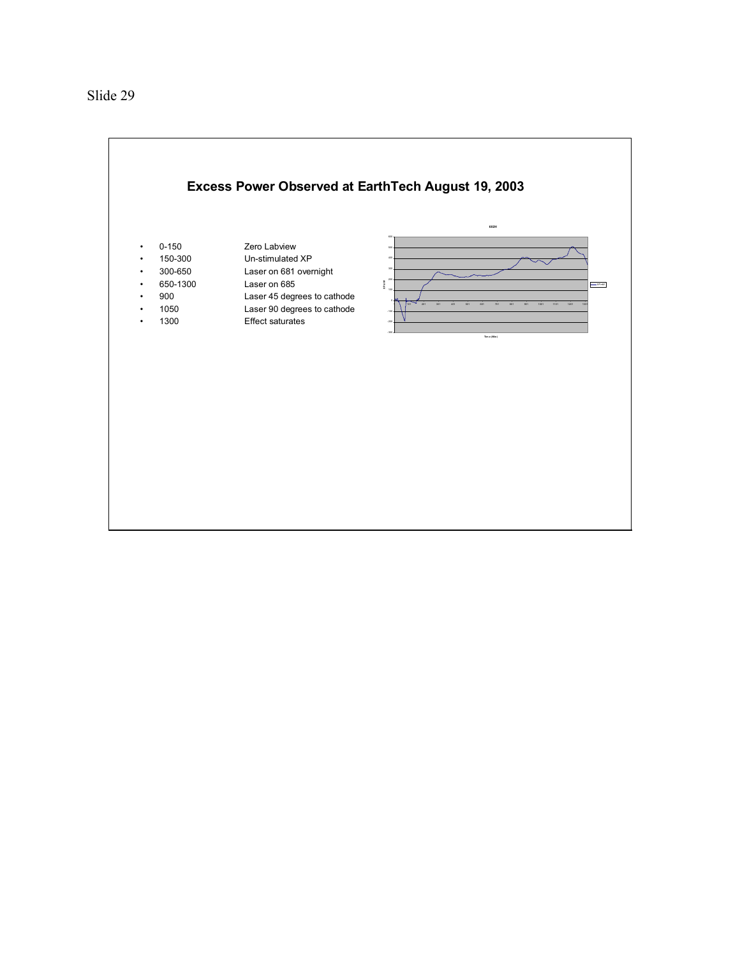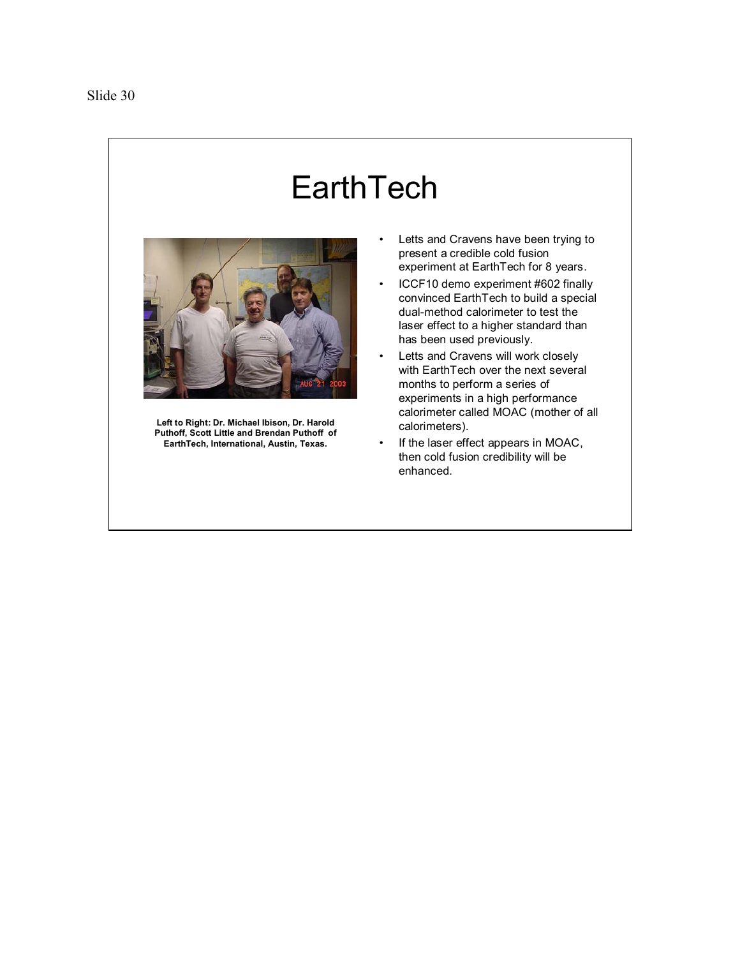## **EarthTech**



**Left to Right: Dr. Michael Ibison, Dr. Harold Puthoff, Scott Little and Brendan Puthoff of EarthTech, International, Austin, Texas.**

- Letts and Cravens have been trying to present a credible cold fusion experiment at EarthTech for 8 years.
- ICCF10 demo experiment #602 finally convinced EarthTech to build a special dual-method calorimeter to test the laser effect to a higher standard than has been used previously.
- Letts and Cravens will work closely with EarthTech over the next several months to perform a series of experiments in a high performance calorimeter called MOAC (mother of all calorimeters).
- If the laser effect appears in MOAC, then cold fusion credibility will be enhanced.